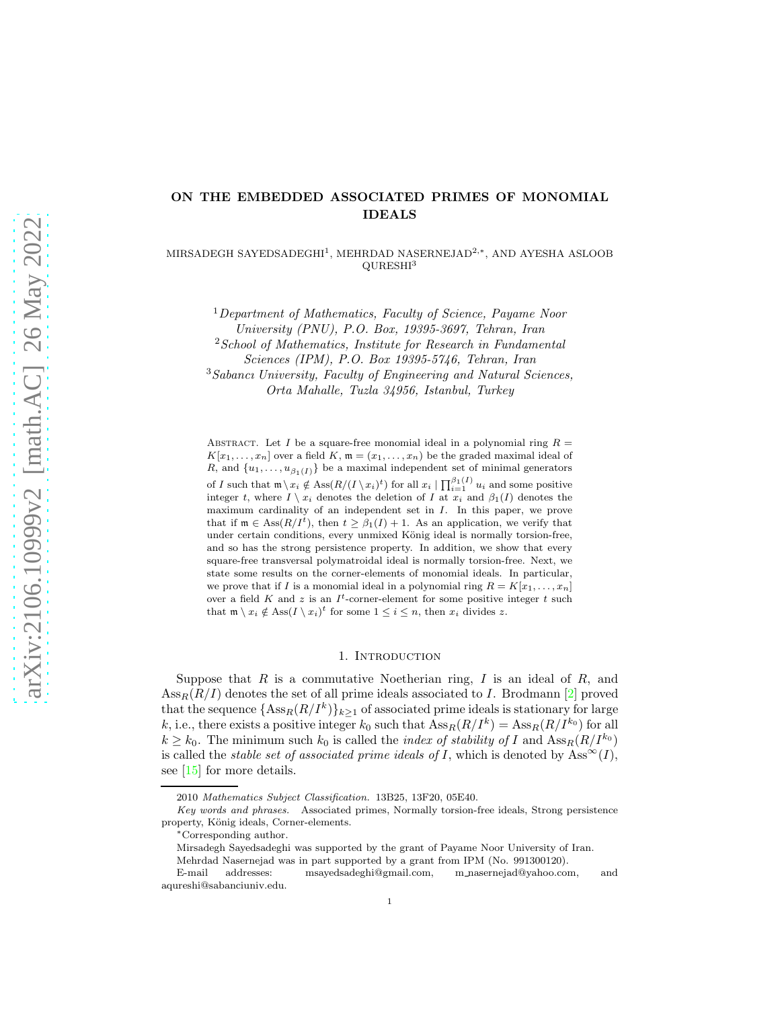# ON THE EMBEDDED ASSOCIATED PRIMES OF MONOMIAL IDEALS

MIRSADEGH SAYEDSADEGHI<sup>1</sup>, MEHRDAD NASERNEJAD<sup>2,∗</sup>, AND AYESHA ASLOOB QURESHI<sup>3</sup>

<sup>1</sup>*Department of Mathematics, Faculty of Science, Payame Noor University (PNU), P.O. Box, 19395-3697, Tehran, Iran* <sup>2</sup>*School of Mathematics, Institute for Research in Fundamental Sciences (IPM), P.O. Box 19395-5746, Tehran, Iran*

<sup>3</sup>*Sabancı University, Faculty of Engineering and Natural Sciences, Orta Mahalle, Tuzla 34956, Istanbul, Turkey*

ABSTRACT. Let I be a square-free monomial ideal in a polynomial ring  $R =$  $K[x_1, \ldots, x_n]$  over a field K,  $\mathfrak{m} = (x_1, \ldots, x_n)$  be the graded maximal ideal of R, and  $\{u_1, \ldots, u_{\beta_1(I)}\}$  be a maximal independent set of minimal generators of I such that  $\mathfrak{m} \setminus x_i \notin \text{Ass}(R/(I \setminus x_i)^t)$  for all  $x_i | \prod_{i=1}^{\beta_1(I)} u_i$  and some positive integer t, where  $I \setminus x_i$  denotes the deletion of I at  $x_i$  and  $\beta_1(I)$  denotes the maximum cardinality of an independent set in I. In this paper, we prove that if  $\mathfrak{m} \in \text{Ass}(R/I^t)$ , then  $t \geq \beta_1(I) + 1$ . As an application, we verify that under certain conditions, every unmixed König ideal is normally torsion-free, and so has the strong persistence property. In addition, we show that every square-free transversal polymatroidal ideal is normally torsion-free. Next, we state some results on the corner-elements of monomial ideals. In particular, we prove that if I is a monomial ideal in a polynomial ring  $R = K[x_1, \ldots, x_n]$ over a field K and z is an  $I^t$ -corner-element for some positive integer t such that  $\mathfrak{m} \setminus x_i \notin \text{Ass}(I \setminus x_i)^t$  for some  $1 \leq i \leq n$ , then  $x_i$  divides z.

### 1. Introduction

Suppose that  $R$  is a commutative Noetherian ring,  $I$  is an ideal of  $R$ , and  $\operatorname{Ass}_R(R/I)$  denotes the set of all prime ideals associated to I. Brodmann [\[2\]](#page-12-0) proved that the sequence  $\{\text{Ass}_R(R/I^k)\}_{k\geq 1}$  of associated prime ideals is stationary for large k, i.e., there exists a positive integer  $k_0$  such that  $\text{Ass}_{R}(R/I^k) = \text{Ass}_{R}(R/I^{k_0})$  for all  $k \geq k_0$ . The minimum such  $k_0$  is called the *index of stability of* I and  $\text{Ass}_{R}(R/I^{k_0})$ is called the *stable set of associated prime ideals of* I, which is denoted by  $\text{Ass}^{\infty}(I)$ , see [\[15\]](#page-12-1) for more details.

<sup>2010</sup> Mathematics Subject Classification. 13B25, 13F20, 05E40.

Key words and phrases. Associated primes, Normally torsion-free ideals, Strong persistence property, König ideals, Corner-elements.

<sup>∗</sup>Corresponding author.

Mirsadegh Sayedsadeghi was supported by the grant of Payame Noor University of Iran.

Mehrdad Nasernejad was in part supported by a grant from IPM (No. 991300120).

E-mail addresses: msayedsadeghi@gmail.com, m nasernejad@yahoo.com, and aqureshi@sabanciuniv.edu.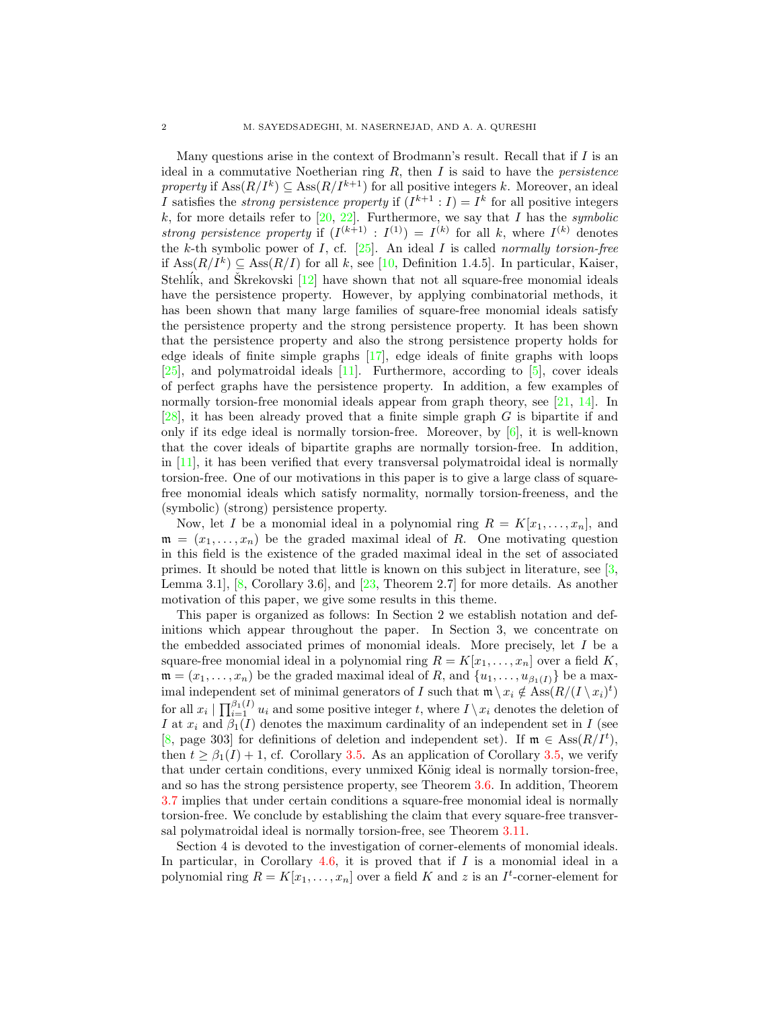Many questions arise in the context of Brodmann's result. Recall that if  $I$  is an ideal in a commutative Noetherian ring R, then I is said to have the *persistence property* if  $\text{Ass}(R/I^k) \subseteq \text{Ass}(R/I^{k+1})$  for all positive integers k. Moreover, an ideal I satisfies the *strong persistence property* if  $(I^{k+1}: I) = I^k$  for all positive integers k, for more details refer to [\[20,](#page-12-2) [22\]](#page-12-3). Furthermore, we say that I has the *symbolic strong persistence property* if  $(I^{(k+1)} : I^{(1)}) = I^{(k)}$  for all k, where  $I^{(k)}$  denotes the k-th symbolic power of I, cf. [\[25\]](#page-12-4). An ideal I is called *normally torsion-free* if  $\text{Ass}(R/I^k) \subseteq \text{Ass}(R/I)$  for all k, see [\[10,](#page-12-5) Definition 1.4.5]. In particular, Kaiser, Stehlik, and Škrekovski  $[12]$  $[12]$  have shown that not all square-free monomial ideals have the persistence property. However, by applying combinatorial methods, it has been shown that many large families of square-free monomial ideals satisfy the persistence property and the strong persistence property. It has been shown that the persistence property and also the strong persistence property holds for edge ideals of finite simple graphs [\[17\]](#page-12-7), edge ideals of finite graphs with loops [\[25\]](#page-12-4), and polymatroidal ideals [\[11\]](#page-12-8). Furthermore, according to [\[5\]](#page-12-9), cover ideals of perfect graphs have the persistence property. In addition, a few examples of normally torsion-free monomial ideals appear from graph theory, see [\[21,](#page-12-10) [14\]](#page-12-11). In [\[28\]](#page-12-12), it has been already proved that a finite simple graph G is bipartite if and only if its edge ideal is normally torsion-free. Moreover, by  $[6]$ , it is well-known that the cover ideals of bipartite graphs are normally torsion-free. In addition, in [\[11\]](#page-12-8), it has been verified that every transversal polymatroidal ideal is normally torsion-free. One of our motivations in this paper is to give a large class of squarefree monomial ideals which satisfy normality, normally torsion-freeness, and the (symbolic) (strong) persistence property.

Now, let I be a monomial ideal in a polynomial ring  $R = K[x_1, \ldots, x_n]$ , and  $\mathfrak{m} = (x_1, \ldots, x_n)$  be the graded maximal ideal of R. One motivating question in this field is the existence of the graded maximal ideal in the set of associated primes. It should be noted that little is known on this subject in literature, see [\[3,](#page-12-14) Lemma 3.1],  $[8]$ , Corollary 3.6], and  $[23]$ , Theorem 2.7] for more details. As another motivation of this paper, we give some results in this theme.

This paper is organized as follows: In Section 2 we establish notation and definitions which appear throughout the paper. In Section 3, we concentrate on the embedded associated primes of monomial ideals. More precisely, let I be a square-free monomial ideal in a polynomial ring  $R = K[x_1, \ldots, x_n]$  over a field K,  $\mathfrak{m} = (x_1, \ldots, x_n)$  be the graded maximal ideal of R, and  $\{u_1, \ldots, u_{\beta_1(I)}\}$  be a maximal independent set of minimal generators of I such that  $\mathfrak{m} \setminus x_i \notin \text{Ass}(R/(I \setminus x_i)^t)$ for all  $x_i \mid \prod_{i=1}^{\beta_1(I)} u_i$  and some positive integer t, where  $I \setminus x_i$  denotes the deletion of I at  $x_i$  and  $\beta_1(I)$  denotes the maximum cardinality of an independent set in I (see [\[8,](#page-12-15) page 303] for definitions of deletion and independent set). If  $\mathfrak{m} \in \text{Ass}(R/I^t)$ , then  $t \geq \beta_1(I) + 1$ , cf. Corollary [3.5.](#page-6-0) As an application of Corollary [3.5,](#page-6-0) we verify that under certain conditions, every unmixed König ideal is normally torsion-free, and so has the strong persistence property, see Theorem [3.6.](#page-6-1) In addition, Theorem [3.7](#page-7-0) implies that under certain conditions a square-free monomial ideal is normally torsion-free. We conclude by establishing the claim that every square-free transversal polymatroidal ideal is normally torsion-free, see Theorem [3.11.](#page-9-0)

Section 4 is devoted to the investigation of corner-elements of monomial ideals. In particular, in Corollary  $4.6$ , it is proved that if  $I$  is a monomial ideal in a polynomial ring  $R = K[x_1, \ldots, x_n]$  over a field K and z is an  $I^t$ -corner-element for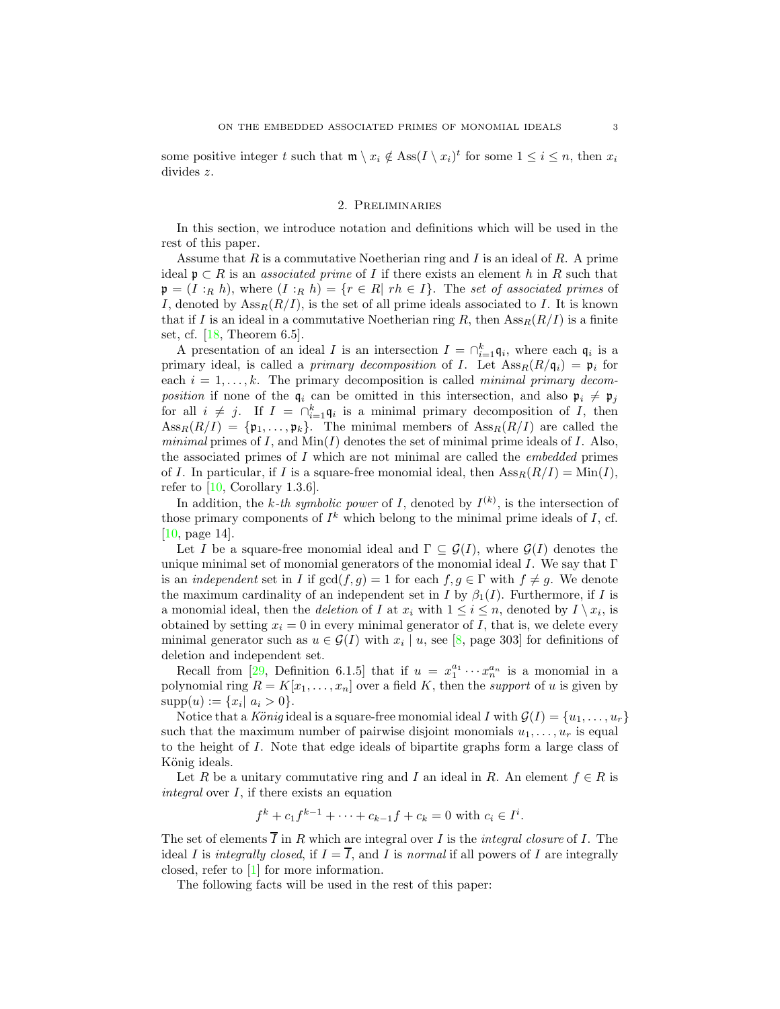some positive integer t such that  $\mathfrak{m} \setminus x_i \notin \text{Ass}(I \setminus x_i)^t$  for some  $1 \leq i \leq n$ , then  $x_i$ divides z.

### 2. Preliminaries

In this section, we introduce notation and definitions which will be used in the rest of this paper.

Assume that  $R$  is a commutative Noetherian ring and  $I$  is an ideal of  $R$ . A prime ideal  $\mathfrak{p} \subset R$  is an *associated prime* of I if there exists an element h in R such that  $\mathfrak{p} = (I :_{R} h)$ , where  $(I :_{R} h) = \{r \in R \mid rh \in I\}$ . The *set of associated primes* of I, denoted by  $\operatorname{Ass}_R(R/I)$ , is the set of all prime ideals associated to I. It is known that if I is an ideal in a commutative Noetherian ring R, then  $\operatorname{Ass}_R(R/I)$  is a finite set, cf.  $[18,$  Theorem 6.5].

A presentation of an ideal I is an intersection  $I = \bigcap_{i=1}^{k} q_i$ , where each  $q_i$  is a primary ideal, is called a *primary decomposition* of I. Let  $\text{Ass}_{R}(R/\mathfrak{q}_{i}) = \mathfrak{p}_{i}$  for each  $i = 1, \ldots, k$ . The primary decomposition is called *minimal primary decomposition* if none of the  $\mathfrak{q}_i$  can be omitted in this intersection, and also  $\mathfrak{p}_i \neq \mathfrak{p}_j$ for all  $i \neq j$ . If  $I = \bigcap_{i=1}^k \mathfrak{q}_i$  is a minimal primary decomposition of I, then  $\operatorname{Ass}_R(R/I) = \{\mathfrak{p}_1, \ldots, \mathfrak{p}_k\}.$  The minimal members of  $\operatorname{Ass}_R(R/I)$  are called the *minimal* primes of  $I$ , and  $Min(I)$  denotes the set of minimal prime ideals of  $I$ . Also, the associated primes of I which are not minimal are called the *embedded* primes of I. In particular, if I is a square-free monomial ideal, then  $\operatorname{Ass}_R(R/I) = \text{Min}(I)$ , refer to  $[10,$  Corollary 1.3.6].

In addition, the *k*-th symbolic power of I, denoted by  $I^{(k)}$ , is the intersection of those primary components of  $I^k$  which belong to the minimal prime ideals of  $I$ , cf. [\[10,](#page-12-5) page 14].

Let I be a square-free monomial ideal and  $\Gamma \subseteq \mathcal{G}(I)$ , where  $\mathcal{G}(I)$  denotes the unique minimal set of monomial generators of the monomial ideal I. We say that  $\Gamma$ is an *independent* set in I if  $gcd(f, g) = 1$  for each  $f, g \in \Gamma$  with  $f \neq g$ . We denote the maximum cardinality of an independent set in I by  $\beta_1(I)$ . Furthermore, if I is a monomial ideal, then the *deletion* of I at  $x_i$  with  $1 \leq i \leq n$ , denoted by  $I \setminus x_i$ , is obtained by setting  $x_i = 0$  in every minimal generator of I, that is, we delete every minimal generator such as  $u \in \mathcal{G}(I)$  with  $x_i \mid u$ , see [\[8,](#page-12-15) page 303] for definitions of deletion and independent set.

Recall from [\[29,](#page-12-18) Definition 6.1.5] that if  $u = x_1^{a_1} \cdots x_n^{a_n}$  is a monomial in a polynomial ring  $R = K[x_1, \ldots, x_n]$  over a field K, then the *support* of u is given by  $supp(u) := \{x_i | a_i > 0\}.$ 

Notice that a *König* ideal is a square-free monomial ideal I with  $\mathcal{G}(I) = \{u_1, \ldots, u_r\}$ such that the maximum number of pairwise disjoint monomials  $u_1, \ldots, u_r$  is equal to the height of I. Note that edge ideals of bipartite graphs form a large class of König ideals.

Let R be a unitary commutative ring and I an ideal in R. An element  $f \in R$  is *integral* over I, if there exists an equation

$$
f^k + c_1 f^{k-1} + \dots + c_{k-1} f + c_k = 0
$$
 with  $c_i \in I^i$ .

The set of elements  $\overline{I}$  in R which are integral over I is the *integral closure* of I. The ideal I is *integrally closed*, if  $I = \overline{I}$ , and I is *normal* if all powers of I are integrally closed, refer to [\[1\]](#page-11-0) for more information.

The following facts will be used in the rest of this paper: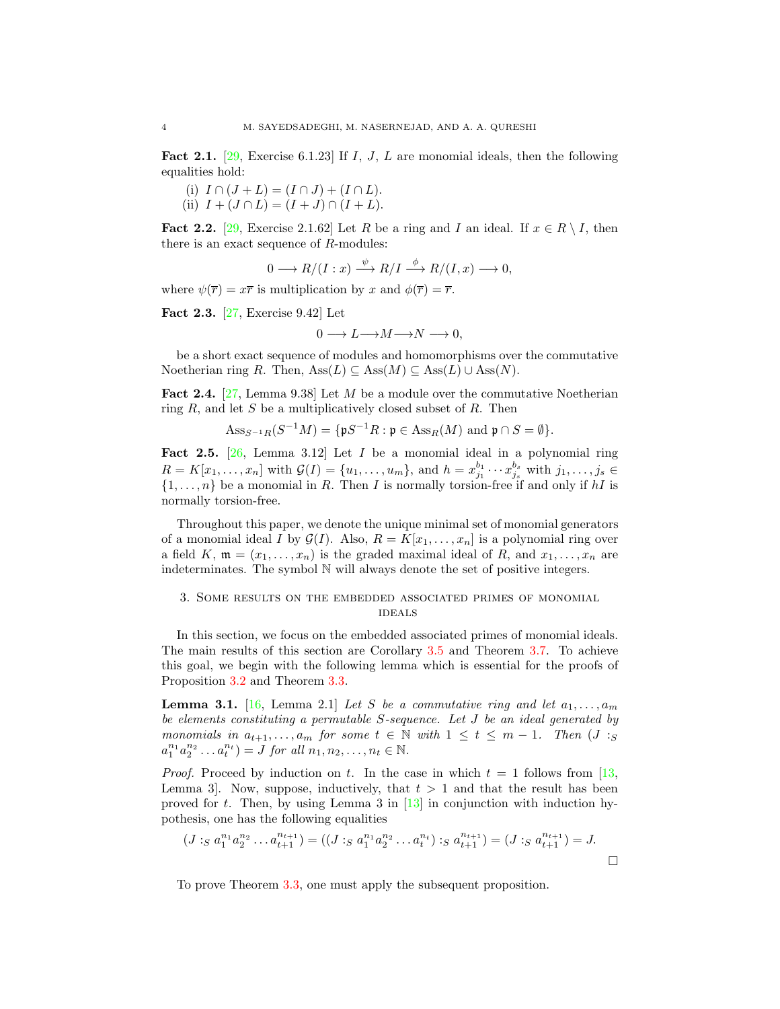<span id="page-3-1"></span>**Fact 2.1.** [\[29,](#page-12-18) Exercise 6.1.23] If I, J, L are monomial ideals, then the following equalities hold:

(i)  $I \cap (J + L) = (I \cap J) + (I \cap L).$ (ii)  $I + (J \cap L) = (I + J) \cap (I + L).$ 

<span id="page-3-2"></span>**Fact 2.2.** [\[29,](#page-12-18) Exercise 2.1.62] Let R be a ring and I an ideal. If  $x \in R \setminus I$ , then

there is an exact sequence of R-modules:

$$
0 \longrightarrow R/(I:x) \stackrel{\psi}{\longrightarrow} R/I \stackrel{\phi}{\longrightarrow} R/(I,x) \longrightarrow 0,
$$

where  $\psi(\overline{r}) = x\overline{r}$  is multiplication by x and  $\phi(\overline{r}) = \overline{r}$ .

<span id="page-3-3"></span>Fact 2.3. [\[27,](#page-12-19) Exercise 9.42] Let

$$
0\longrightarrow L{\longrightarrow} M {\longrightarrow} N\longrightarrow 0,
$$

be a short exact sequence of modules and homomorphisms over the commutative Noetherian ring R. Then,  $\text{Ass}(L) \subseteq \text{Ass}(M) \subseteq \text{Ass}(L) \cup \text{Ass}(N)$ .

<span id="page-3-4"></span>**Fact 2.4.** [\[27,](#page-12-19) Lemma 9.38] Let M be a module over the commutative Noetherian ring  $R$ , and let  $S$  be a multiplicatively closed subset of  $R$ . Then

$$
\operatorname{Ass}_{S^{-1}R}(S^{-1}M) = \{\mathfrak{p}S^{-1}R : \mathfrak{p} \in \operatorname{Ass}_R(M) \text{ and } \mathfrak{p} \cap S = \emptyset\}.
$$

<span id="page-3-5"></span>**Fact 2.5.** [\[26,](#page-12-20) Lemma 3.12] Let  $I$  be a monomial ideal in a polynomial ring  $R = K[x_1, \ldots, x_n]$  with  $G(I) = \{u_1, \ldots, u_m\}$ , and  $h = x_{j_1}^{b_1} \cdots x_{j_s}^{b_s}$  with  $j_1, \ldots, j_s \in$  $\{1,\ldots,n\}$  be a monomial in R. Then I is normally torsion-free if and only if hI is normally torsion-free.

Throughout this paper, we denote the unique minimal set of monomial generators of a monomial ideal I by  $\mathcal{G}(I)$ . Also,  $R = K[x_1, \ldots, x_n]$  is a polynomial ring over a field K,  $\mathfrak{m} = (x_1, \ldots, x_n)$  is the graded maximal ideal of R, and  $x_1, \ldots, x_n$  are indeterminates. The symbol N will always denote the set of positive integers.

## 3. Some results on the embedded associated primes of monomial ideals

In this section, we focus on the embedded associated primes of monomial ideals. The main results of this section are Corollary [3.5](#page-6-0) and Theorem [3.7.](#page-7-0) To achieve this goal, we begin with the following lemma which is essential for the proofs of Proposition [3.2](#page-4-0) and Theorem [3.3.](#page-4-1)

<span id="page-3-0"></span>**Lemma 3.1.** [\[16,](#page-12-21) Lemma 2.1] Let S be a commutative ring and let  $a_1, \ldots, a_m$ *be elements constituting a permutable* S*-sequence. Let* J *be an ideal generated by monomials in*  $a_{t+1}, \ldots, a_m$  *for some*  $t \in \mathbb{N}$  *with*  $1 \leq t \leq m-1$ *. Then*  $(J : S)$  $a_1^{n_1} a_2^{n_2} \dots a_t^{n_t} = J$  *for all*  $n_1, n_2, \dots, n_t \in \mathbb{N}$ .

*Proof.* Proceed by induction on t. In the case in which  $t = 1$  follows from [\[13,](#page-12-22) Lemma 3. Now, suppose, inductively, that  $t > 1$  and that the result has been proved for t. Then, by using Lemma 3 in  $[13]$  in conjunction with induction hypothesis, one has the following equalities

$$
(J:_{S} a_{1}^{n_{1}} a_{2}^{n_{2}} \dots a_{t+1}^{n_{t+1}}) = ((J:_{S} a_{1}^{n_{1}} a_{2}^{n_{2}} \dots a_{t}^{n_{t}}):_{S} a_{t+1}^{n_{t+1}}) = (J:_{S} a_{t+1}^{n_{t+1}}) = J.
$$

To prove Theorem [3.3,](#page-4-1) one must apply the subsequent proposition.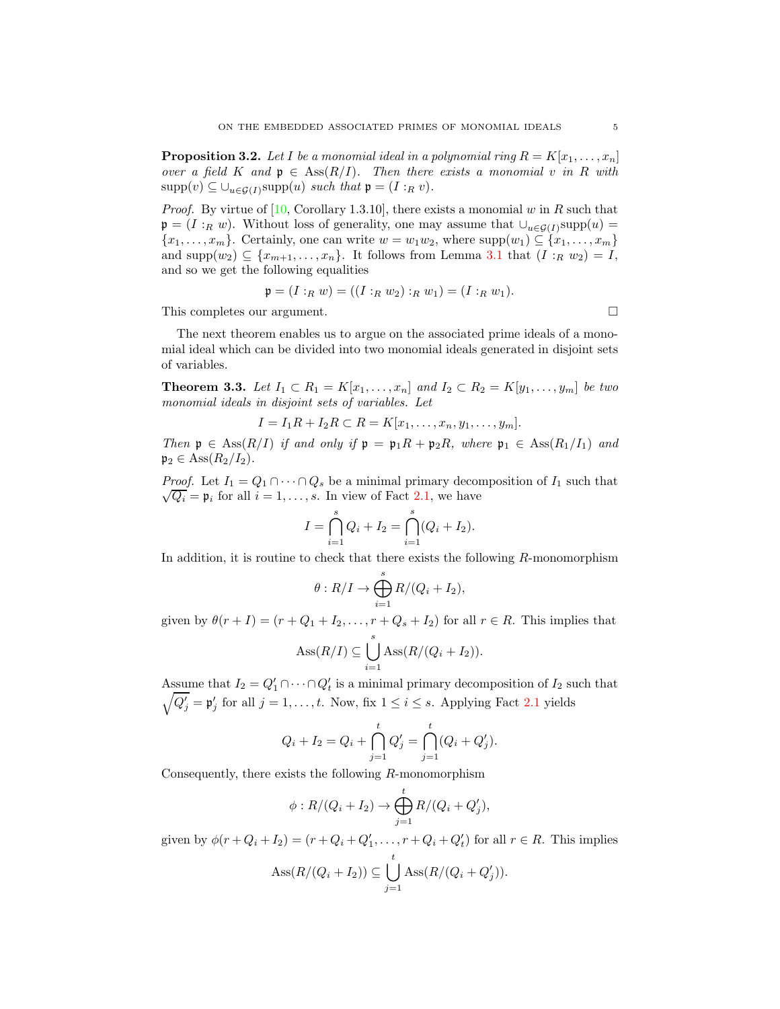<span id="page-4-0"></span>**Proposition 3.2.** Let I be a monomial ideal in a polynomial ring  $R = K[x_1, \ldots, x_n]$ *over a field* K *and*  $\mathfrak{p} \in \text{Ass}(R/I)$ *. Then there exists a monomial* v *in* R with  $\text{supp}(v) \subseteq \bigcup_{u \in \mathcal{G}(I)} \text{supp}(u) \text{ such that } \mathfrak{p} = (I :_R v).$ 

*Proof.* By virtue of  $[10, Corollary 1.3.10]$ , there exists a monomial w in R such that  $\mathfrak{p} = (I :_R w)$ . Without loss of generality, one may assume that  $\cup_{u \in \mathcal{G}(I)}$ supp $(u)$  ${x_1, \ldots, x_m}$ . Certainly, one can write  $w = w_1w_2$ , where  $supp(w_1) \subseteq {x_1, \ldots, x_m}$ and supp $(w_2) \subseteq \{x_{m+1}, \ldots, x_n\}$ . It follows from Lemma [3.1](#page-3-0) that  $(I :_R w_2) = I$ , and so we get the following equalities

$$
\mathfrak{p} = (I :_R w) = ((I :_R w_2) :_R w_1) = (I :_R w_1).
$$

This completes our argument.

The next theorem enables us to argue on the associated prime ideals of a monomial ideal which can be divided into two monomial ideals generated in disjoint sets of variables.

<span id="page-4-1"></span>**Theorem 3.3.** *Let*  $I_1$  ⊂  $R_1 = K[x_1, \ldots, x_n]$  *and*  $I_2$  ⊂  $R_2 = K[y_1, \ldots, y_m]$  *be two monomial ideals in disjoint sets of variables. Let*

$$
I = I_1R + I_2R \subset R = K[x_1,\ldots,x_n,y_1,\ldots,y_m].
$$

*Then*  $\mathfrak{p} \in \text{Ass}(R/I)$  *if and only if*  $\mathfrak{p} = \mathfrak{p}_1 R + \mathfrak{p}_2 R$ *, where*  $\mathfrak{p}_1 \in \text{Ass}(R_1/I_1)$  *and*  $\mathfrak{p}_2 \in \text{Ass}(R_2/I_2)$ *.* 

*Proof.* Let  $I_1 = Q_1 \cap \cdots \cap Q_s$  be a minimal primary decomposition of  $I_1$  such that  $\sqrt{Q_i} = \mathfrak{p}_i$  for all  $i = 1, \ldots, s$ . In view of Fact [2.1,](#page-3-1) we have

$$
I = \bigcap_{i=1}^{s} Q_i + I_2 = \bigcap_{i=1}^{s} (Q_i + I_2).
$$

In addition, it is routine to check that there exists the following R-monomorphism

$$
\theta: R/I \to \bigoplus_{i=1}^s R/(Q_i+I_2),
$$

given by  $\theta(r+I) = (r+Q_1+I_2,\ldots,r+Q_s+I_2)$  for all  $r \in R$ . This implies that

$$
Ass(R/I) \subseteq \bigcup_{i=1}^{s} Ass(R/(Q_i + I_2)).
$$

Assume that  $I_2 = Q'_1 \cap \cdots \cap Q'_t$  is a minimal primary decomposition of  $I_2$  such that  $\sqrt{Q'_j} = \mathfrak{p}'_j$  for all  $j = 1, \ldots, t$ . Now, fix  $1 \leq i \leq s$ . Applying Fact [2.1](#page-3-1) yields

$$
Q_i + I_2 = Q_i + \bigcap_{j=1}^t Q'_j = \bigcap_{j=1}^t (Q_i + Q'_j).
$$

Consequently, there exists the following R-monomorphism

$$
\phi: R/(Q_i+I_2) \to \bigoplus_{j=1}^t R/(Q_i+Q'_j),
$$

given by  $\phi(r+Q_i+I_2) = (r+Q_i+Q'_1,\ldots,r+Q_i+Q'_t)$  for all  $r \in R$ . This implies

$$
Ass(R/(Q_i + I_2)) \subseteq \bigcup_{j=1}^t Ass(R/(Q_i + Q'_j)).
$$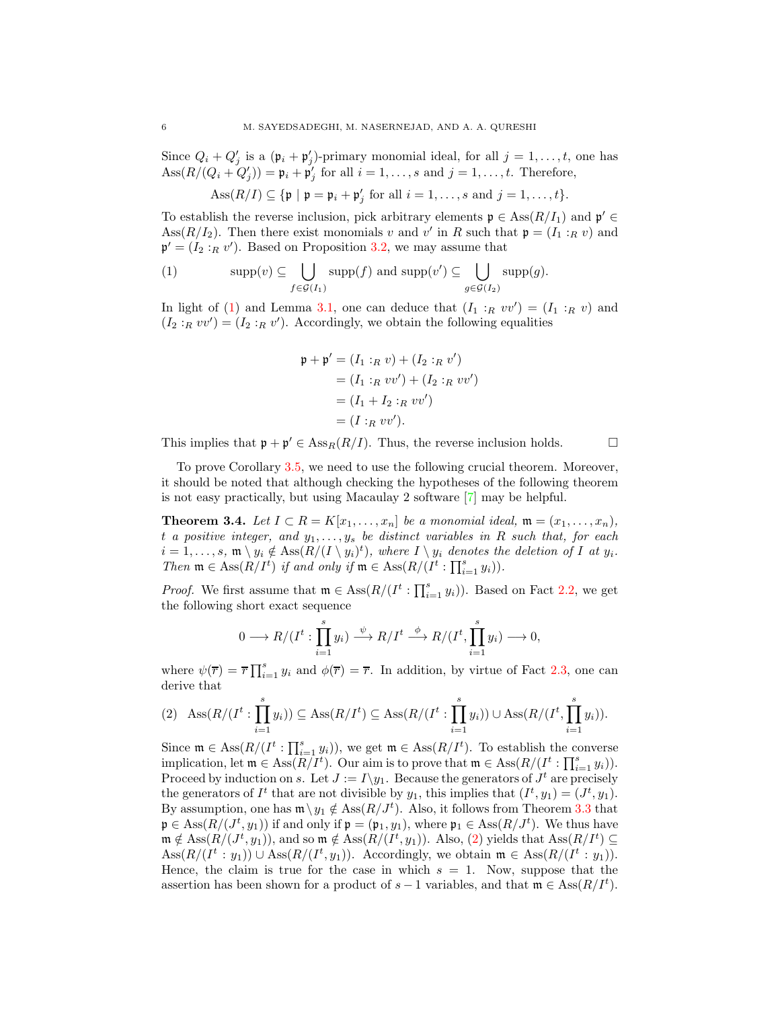Since  $Q_i + Q'_j$  is a  $(\mathfrak{p}_i + \mathfrak{p}'_j)$ -primary monomial ideal, for all  $j = 1, ..., t$ , one has  $\text{Ass}(R/(Q_i + Q'_j)) = \mathfrak{p}_i + \mathfrak{p}'_j$  for all  $i = 1, \ldots, s$  and  $j = 1, \ldots, t$ . Therefore,

$$
Ass(R/I) \subseteq \{ \mathfrak{p} \mid \mathfrak{p} = \mathfrak{p}_i + \mathfrak{p}'_j \text{ for all } i = 1, \ldots, s \text{ and } j = 1, \ldots, t \}.
$$

To establish the reverse inclusion, pick arbitrary elements  $\mathfrak{p} \in \text{Ass}(R/I_1)$  and  $\mathfrak{p}' \in$ Ass $(R/I_2)$ . Then there exist monomials v and v' in R such that  $\mathfrak{p} = (I_1 :_R v)$  and  $\mathfrak{p}' = (I_2 :_R v')$ . Based on Proposition [3.2,](#page-4-0) we may assume that

<span id="page-5-0"></span>(1) 
$$
\text{supp}(v) \subseteq \bigcup_{f \in \mathcal{G}(I_1)} \text{supp}(f) \text{ and } \text{supp}(v') \subseteq \bigcup_{g \in \mathcal{G}(I_2)} \text{supp}(g).
$$

In light of [\(1\)](#page-5-0) and Lemma [3.1,](#page-3-0) one can deduce that  $(I_1:_R vv') = (I_1:_R v)$  and  $(I_2:_{R} v v') = (I_2:_{R} v')$ . Accordingly, we obtain the following equalities

$$
\mathfrak{p} + \mathfrak{p}' = (I_1 :_R v) + (I_2 :_R v')
$$
  
=  $(I_1 :_R v v') + (I_2 :_R v v')$   
=  $(I_1 + I_2 :_R v v')$   
=  $(I :_R v v').$ 

This implies that  $\mathfrak{p} + \mathfrak{p}' \in \text{Ass}_{R}(R/I)$ . Thus, the reverse inclusion holds.

To prove Corollary [3.5,](#page-6-0) we need to use the following crucial theorem. Moreover, it should be noted that although checking the hypotheses of the following theorem is not easy practically, but using Macaulay 2 software [\[7\]](#page-12-23) may be helpful.

<span id="page-5-2"></span>**Theorem 3.4.** Let  $I \subset R = K[x_1, \ldots, x_n]$  be a monomial ideal,  $\mathfrak{m} = (x_1, \ldots, x_n)$ , t *a positive integer, and* y1, . . . , y<sup>s</sup> *be distinct variables in* R *such that, for each*  $i = 1, \ldots, s, \mathfrak{m} \setminus y_i \notin \text{Ass}(R/(I \setminus y_i)^t), \text{ where } I \setminus y_i \text{ denotes the deletion of } I \text{ at } y_i.$ *Then*  $\mathfrak{m} \in \text{Ass}(R/I^t)$  *if and only if*  $\mathfrak{m} \in \text{Ass}(R/(I^t : \prod_{i=1}^s y_i)).$ 

*Proof.* We first assume that  $\mathfrak{m} \in \text{Ass}(R/(I^t : \prod_{i=1}^s y_i))$ . Based on Fact [2.2,](#page-3-2) we get the following short exact sequence

$$
0 \longrightarrow R/(I^t : \prod_{i=1}^s y_i) \xrightarrow{\psi} R/I^t \xrightarrow{\phi} R/(I^t, \prod_{i=1}^s y_i) \longrightarrow 0,
$$

where  $\psi(\overline{r}) = \overline{r} \prod_{i=1}^{s} y_i$  and  $\phi(\overline{r}) = \overline{r}$ . In addition, by virtue of Fact [2.3,](#page-3-3) one can derive that

<span id="page-5-1"></span>
$$
(2) \ \ \text{Ass}(R/(I^t: \prod_{i=1}^s y_i)) \subseteq \text{Ass}(R/I^t) \subseteq \text{Ass}(R/(I^t: \prod_{i=1}^s y_i)) \cup \text{Ass}(R/(I^t, \prod_{i=1}^s y_i)).
$$

Since  $\mathfrak{m} \in \text{Ass}(R/(I^t : \prod_{i=1}^s y_i)),$  we get  $\mathfrak{m} \in \text{Ass}(R/I^t)$ . To establish the converse implication, let  $\mathfrak{m} \in \text{Ass}(R/I^t)$ . Our aim is to prove that  $\mathfrak{m} \in \text{Ass}(R/(I^t : \prod_{i=1}^s y_i)).$ Proceed by induction on s. Let  $J := I \setminus y_1$ . Because the generators of  $J^t$  are precisely the generators of  $I^t$  that are not divisible by  $y_1$ , this implies that  $(I^t, y_1) = (J^t, y_1)$ . By assumption, one has  $\mathfrak{m} \setminus y_1 \notin \text{Ass}(R/J^t)$ . Also, it follows from Theorem [3.3](#page-4-1) that  $\mathfrak{p} \in \text{Ass}(R/(J^t, y_1))$  if and only if  $\mathfrak{p} = (\mathfrak{p}_1, y_1)$ , where  $\mathfrak{p}_1 \in \text{Ass}(R/J^t)$ . We thus have  $\mathfrak{m} \notin \text{Ass}(R/(J^t, y_1)),$  and so  $\mathfrak{m} \notin \text{Ass}(R/(I^t, y_1)).$  Also, [\(2\)](#page-5-1) yields that  $\text{Ass}(R/I^t) \subseteq$ Ass $(R/(I^t: y_1)) \cup \text{Ass}(R/(I^t, y_1))$ . Accordingly, we obtain  $\mathfrak{m} \in \text{Ass}(R/(I^t: y_1))$ . Hence, the claim is true for the case in which  $s = 1$ . Now, suppose that the assertion has been shown for a product of  $s-1$  variables, and that  $\mathfrak{m} \in \text{Ass}(R/I^t)$ .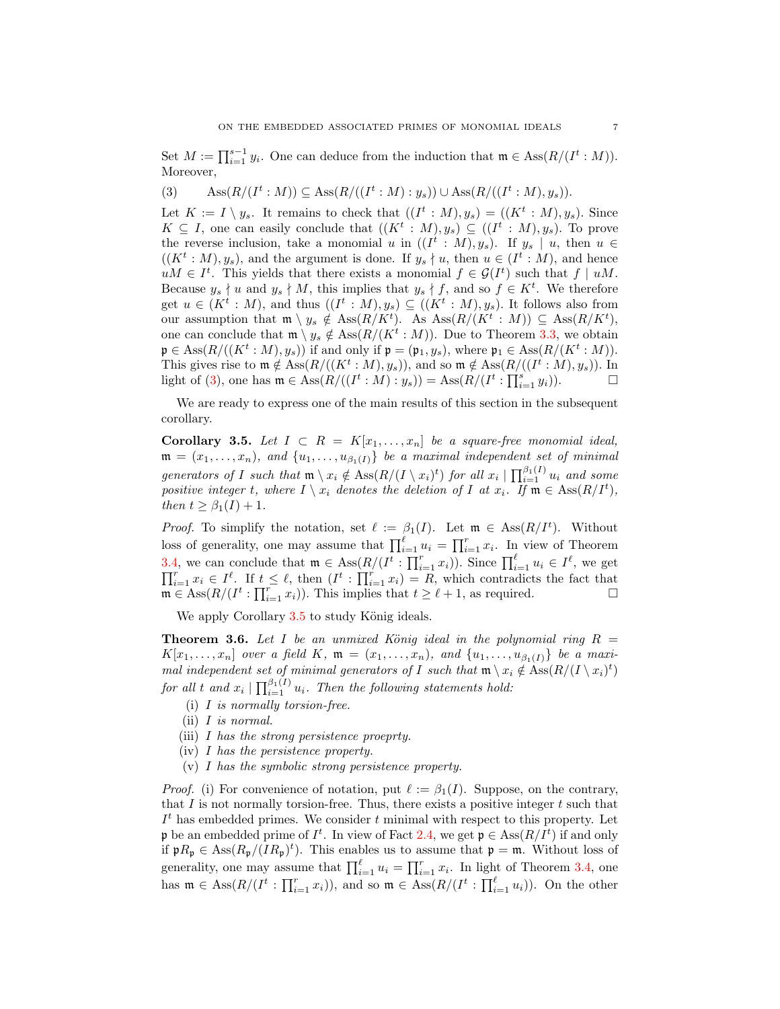Set  $M := \prod_{i=1}^{s-1} y_i$ . One can deduce from the induction that  $\mathfrak{m} \in \text{Ass}(R/(I^t : M)).$ Moreover,

<span id="page-6-2"></span>(3)  $\text{Ass}(R/(I^t : M)) \subseteq \text{Ass}(R/((I^t : M) : y_s)) \cup \text{Ass}(R/((I^t : M), y_s)).$ 

Let  $K := I \setminus y_s$ . It remains to check that  $((I^t : M), y_s) = ((K^t : M), y_s)$ . Since  $K \subseteq I$ , one can easily conclude that  $((K^t : M), y_s) \subseteq ((I^t : M), y_s)$ . To prove the reverse inclusion, take a monomial u in  $((I^t : M), y_s)$ . If  $y_s \mid u$ , then  $u \in$  $((K<sup>t</sup>: M), y<sub>s</sub>),$  and the argument is done. If  $y<sub>s</sub> \nmid u$ , then  $u \in (I<sup>t</sup>: M)$ , and hence  $uM \in I^t$ . This yields that there exists a monomial  $f \in \mathcal{G}(I^t)$  such that  $f \mid uM$ . Because  $y_s \nmid u$  and  $y_s \nmid M$ , this implies that  $y_s \nmid f$ , and so  $f \in K^t$ . We therefore get  $u \in (K^t : M)$ , and thus  $((I^t : M), y_s) \subseteq ((K^t : M), y_s)$ . It follows also from our assumption that  $\mathfrak{m} \setminus y_s \notin \text{Ass}(R/K^t)$ . As  $\text{Ass}(R/(K^t : M)) \subseteq \text{Ass}(R/K^t)$ , one can conclude that  $\mathfrak{m} \setminus y_s \notin \text{Ass}(R/(K^t : M))$ . Due to Theorem [3.3,](#page-4-1) we obtain  $\mathfrak{p} \in \text{Ass}(R/((K^t : M), y_s))$  if and only if  $\mathfrak{p} = (\mathfrak{p}_1, y_s)$ , where  $\mathfrak{p}_1 \in \text{Ass}(R/(K^t : M))$ . This gives rise to  $\mathfrak{m} \notin \text{Ass}(R/((K^t : M), y_s)),$  and so  $\mathfrak{m} \notin \text{Ass}(R/((I^t : M), y_s)).$  In light of [\(3\)](#page-6-2), one has  $\mathfrak{m} \in \text{Ass}(R/((I^t : M) : y_s)) = \text{Ass}(R/(I^t : \prod_{i=1}^s y_i)).$ 

We are ready to express one of the main results of this section in the subsequent corollary.

<span id="page-6-0"></span>Corollary 3.5. Let  $I \subset R = K[x_1, \ldots, x_n]$  be a square-free monomial ideal,  $\mathfrak{m} = (x_1, \ldots, x_n)$ , and  $\{u_1, \ldots, u_{\beta_1(I)}\}$  be a maximal independent set of minimal *generators of* I such that  $\mathfrak{m} \setminus x_i \notin \text{Ass}(R/(I \setminus x_i)^t)$  for all  $x_i \mid \prod_{i=1}^{\beta_1(I)} u_i$  and some *positive integer t, where*  $I \setminus x_i$  *denotes the deletion of*  $I$  *at*  $x_i$ *.* If  $\mathfrak{m} \in \text{Ass}(R/I^t)$ *, then*  $t \geq \beta_1(I) + 1$ *.* 

*Proof.* To simplify the notation, set  $\ell := \beta_1(I)$ . Let  $\mathfrak{m} \in \text{Ass}(R/I^t)$ . Without loss of generality, one may assume that  $\prod_{i=1}^{\ell} u_i = \prod_{i=1}^{r} x_i$ . In view of Theorem [3.4,](#page-5-2) we can conclude that  $\mathfrak{m} \in \text{Ass}(R/(I^t : \prod_{i=1}^r x_i))$ . Since  $\prod_{i=1}^{\ell} u_i \in I^{\ell}$ , we get  $\prod_{i=1}^r x_i \in I^{\ell}$ . If  $t \leq \ell$ , then  $(I^t : \prod_{i=1}^r x_i) = R$ , which contradicts the fact that  $\mathfrak{m} \in \text{Ass}(R/(I^t : \prod_{i=1}^r x_i)).$  This implies that  $t \geq \ell + 1$ , as required.

We apply Corollary [3.5](#page-6-0) to study König ideals.

<span id="page-6-1"></span>**Theorem 3.6.** Let I be an unmixed König ideal in the polynomial ring  $R =$  $K[x_1, \ldots, x_n]$  *over a field* K,  $\mathfrak{m} = (x_1, \ldots, x_n)$ , and  $\{u_1, \ldots, u_{\beta_1(I)}\}$  be a maxi*mal independent set of minimal generators of I such that*  $\mathfrak{m} \setminus x_i \notin \text{Ass}(R/(I \setminus x_i)^t)$  $for \ all \ t \ and \ x_i \ | \ \prod_{i=1}^{\beta_1(I)} u_i.$  Then the following statements hold:

- (i) I *is normally torsion-free.*
- (ii) I *is normal.*
- (iii) I *has the strong persistence proeprty.*
- (iv) I *has the persistence property.*
- (v) I *has the symbolic strong persistence property.*

*Proof.* (i) For convenience of notation, put  $\ell := \beta_1(I)$ . Suppose, on the contrary, that  $I$  is not normally torsion-free. Thus, there exists a positive integer  $t$  such that  $I<sup>t</sup>$  has embedded primes. We consider t minimal with respect to this property. Let p be an embedded prime of  $I^t$ . In view of Fact [2.4,](#page-3-4) we get  $\mathfrak{p} \in \text{Ass}(R/I^t)$  if and only if  $\mathfrak{p}R_{\mathfrak{p}} \in \text{Ass}(R_{\mathfrak{p}}/(IR_{\mathfrak{p}})^t)$ . This enables us to assume that  $\mathfrak{p} = \mathfrak{m}$ . Without loss of generality, one may assume that  $\prod_{i=1}^{\ell} u_i = \prod_{i=1}^r x_i$ . In light of Theorem [3.4,](#page-5-2) one has  $\mathfrak{m} \in \text{Ass}(R/(I^t : \prod_{i=1}^r x_i)),$  and so  $\mathfrak{m} \in \text{Ass}(R/(I^t : \prod_{i=1}^\ell u_i)).$  On the other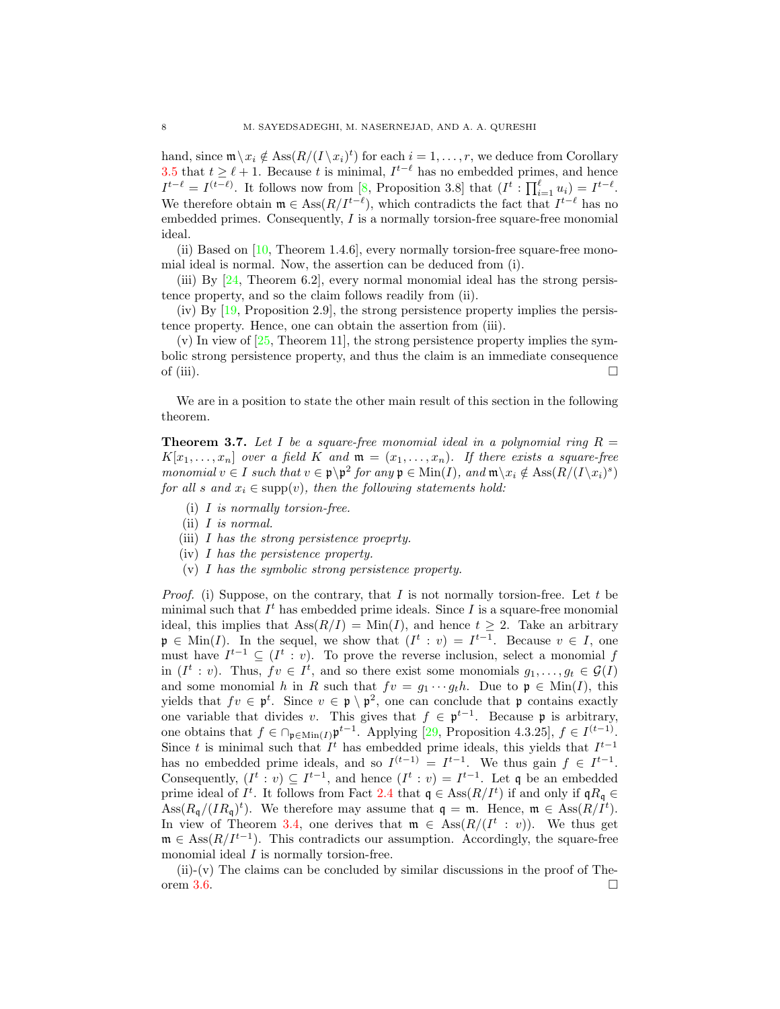hand, since  $\mathfrak{m} \setminus x_i \notin \text{Ass}(R/(I \setminus x_i)^t)$  for each  $i = 1, \ldots, r$ , we deduce from Corollary [3.5](#page-6-0) that  $t \geq \ell + 1$ . Because t is minimal,  $I^{t-\ell}$  has no embedded primes, and hence  $I^{t-\ell} = I^{(t-\ell)}$ . It follows now from [\[8,](#page-12-15) Proposition 3.8] that  $(I^t: \prod_{i=1}^{\ell} u_i) = I^{t-\ell}$ . We therefore obtain  $\mathfrak{m} \in \text{Ass}(R/I^{t-\ell})$ , which contradicts the fact that  $I^{t-\ell}$  has no embedded primes. Consequently, I is a normally torsion-free square-free monomial ideal.

(ii) Based on  $[10,$  Theorem 1.4.6, every normally torsion-free square-free monomial ideal is normal. Now, the assertion can be deduced from (i).

(iii) By [\[24,](#page-12-24) Theorem 6.2], every normal monomial ideal has the strong persistence property, and so the claim follows readily from (ii).

(iv) By [\[19,](#page-12-25) Proposition 2.9], the strong persistence property implies the persistence property. Hence, one can obtain the assertion from (iii).

 $(v)$  In view of  $[25,$  Theorem 11], the strong persistence property implies the symbolic strong persistence property, and thus the claim is an immediate consequence of (iii).  $\Box$ 

We are in a position to state the other main result of this section in the following theorem.

<span id="page-7-0"></span>**Theorem 3.7.** Let I be a square-free monomial ideal in a polynomial ring  $R =$  $K[x_1, \ldots, x_n]$  *over a field* K *and*  $\mathfrak{m} = (x_1, \ldots, x_n)$ *. If there exists a square-free monomial*  $v \in I$  *such that*  $v \in \mathfrak{p} \backslash \mathfrak{p}^2$  *for any*  $\mathfrak{p} \in \text{Min}(I)$ *, and*  $\mathfrak{m} \backslash x_i \notin \text{Ass}(R/(I\backslash x_i)^s)$ *for all* s and  $x_i \in \text{supp}(v)$ *, then the following statements hold:* 

- (i) I *is normally torsion-free.*
- (ii) I *is normal.*
- (iii) I *has the strong persistence proeprty.*
- (iv) I *has the persistence property.*
- (v) I *has the symbolic strong persistence property.*

*Proof.* (i) Suppose, on the contrary, that  $I$  is not normally torsion-free. Let  $t$  be minimal such that  $I<sup>t</sup>$  has embedded prime ideals. Since I is a square-free monomial ideal, this implies that  $\text{Ass}(R/I) = \text{Min}(I)$ , and hence  $t \geq 2$ . Take an arbitrary  $\mathfrak{p} \in \text{Min}(I)$ . In the sequel, we show that  $(I^t : v) = I^{t-1}$ . Because  $v \in I$ , one must have  $I^{t-1} \subseteq (I^t : v)$ . To prove the reverse inclusion, select a monomial f in  $(I^t : v)$ . Thus,  $fv \in I^t$ , and so there exist some monomials  $g_1, \ldots, g_t \in \mathcal{G}(I)$ and some monomial h in R such that  $f v = g_1 \cdots g_t h$ . Due to  $\mathfrak{p} \in \text{Min}(I)$ , this yields that  $fv \in \mathfrak{p}^t$ . Since  $v \in \mathfrak{p} \setminus \mathfrak{p}^2$ , one can conclude that  $\mathfrak{p}$  contains exactly one variable that divides v. This gives that  $f \in \mathfrak{p}^{t-1}$ . Because p is arbitrary, one obtains that  $f \in \bigcap_{\mathfrak{p} \in \text{Min}(I)} \mathfrak{p}^{t-1}$ . Applying [\[29,](#page-12-18) Proposition 4.3.25],  $f \in I^{(t-1)}$ . Since t is minimal such that  $I<sup>t</sup>$  has embedded prime ideals, this yields that  $I<sup>t-1</sup>$ has no embedded prime ideals, and so  $I^{(t-1)} = I^{t-1}$ . We thus gain  $f \in I^{t-1}$ . Consequently,  $(I^t : v) \subseteq I^{t-1}$ , and hence  $(I^t : v) = I^{t-1}$ . Let q be an embedded prime ideal of  $I^t$ . It follows from Fact [2.4](#page-3-4) that  $\mathfrak{q} \in \text{Ass}(R/I^t)$  if and only if  $\mathfrak{q}R_{\mathfrak{q}} \in$ Ass $(R_{\mathfrak{q}}/(IR_{\mathfrak{q}})^t)$ . We therefore may assume that  $\mathfrak{q} = \mathfrak{m}$ . Hence,  $\mathfrak{m} \in \text{Ass}(R/I^t)$ . In view of Theorem [3.4,](#page-5-2) one derives that  $\mathfrak{m} \in \text{Ass}(R/(I^t : v))$ . We thus get  $\mathfrak{m} \in \text{Ass}(R/I^{t-1})$ . This contradicts our assumption. Accordingly, the square-free monomial ideal  $I$  is normally torsion-free.

 $(ii)-(v)$  The claims can be concluded by similar discussions in the proof of Theorem  $3.6$ .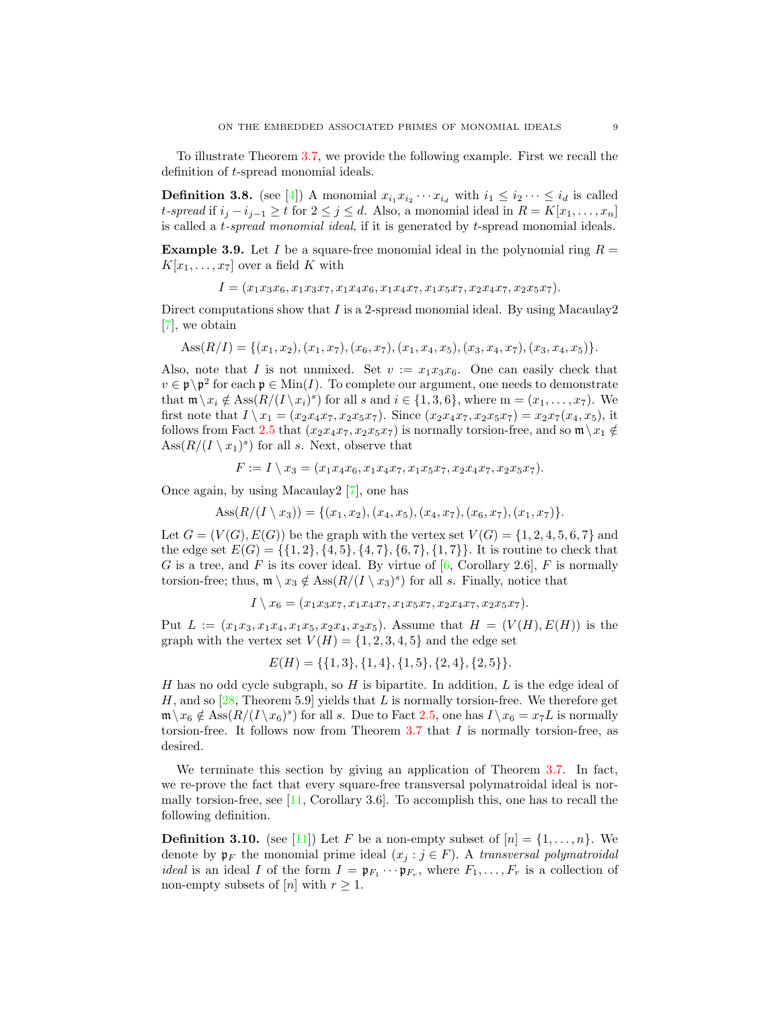To illustrate Theorem [3.7,](#page-7-0) we provide the following example. First we recall the definition of t-spread monomial ideals.

**Definition 3.8.** (see [\[4\]](#page-12-26)) A monomial  $x_{i_1}x_{i_2}\cdots x_{i_d}$  with  $i_1 \leq i_2 \cdots \leq i_d$  is called t-spread if  $i_j - i_{j-1} \geq t$  for  $2 \leq j \leq d$ . Also, a monomial ideal in  $R = K[x_1, \ldots, x_n]$ is called a t*-spread monomial ideal*, if it is generated by t-spread monomial ideals.

**Example 3.9.** Let I be a square-free monomial ideal in the polynomial ring  $R =$  $K[x_1, \ldots, x_7]$  over a field K with

$$
I = (x_1x_3x_6, x_1x_3x_7, x_1x_4x_6, x_1x_4x_7, x_1x_5x_7, x_2x_4x_7, x_2x_5x_7).
$$

Direct computations show that I is a 2-spread monomial ideal. By using Macaulay  $2$ [\[7\]](#page-12-23), we obtain

$$
Ass(R/I) = \{ (x_1, x_2), (x_1, x_7), (x_6, x_7), (x_1, x_4, x_5), (x_3, x_4, x_7), (x_3, x_4, x_5) \}.
$$

Also, note that I is not unmixed. Set  $v := x_1 x_3 x_6$ . One can easily check that  $v \in \mathfrak{p} \backslash \mathfrak{p}^2$  for each  $\mathfrak{p} \in \text{Min}(I)$ . To complete our argument, one needs to demonstrate that  $\mathfrak{m} \setminus x_i \notin \text{Ass}(R/(I \setminus x_i)^s)$  for all s and  $i \in \{1, 3, 6\}$ , where  $m = (x_1, \ldots, x_7)$ . We first note that  $I \setminus x_1 = (x_2x_4x_7, x_2x_5x_7)$ . Since  $(x_2x_4x_7, x_2x_5x_7) = x_2x_7(x_4, x_5)$ , it follows from Fact [2.5](#page-3-5) that  $(x_2x_4x_7, x_2x_5x_7)$  is normally torsion-free, and so  $\mathfrak{m}\setminus x_1 \notin$  $\operatorname{Ass}(R/(I \setminus x_1)^s)$  for all s. Next, observe that

$$
F := I \setminus x_3 = (x_1 x_4 x_6, x_1 x_4 x_7, x_1 x_5 x_7, x_2 x_4 x_7, x_2 x_5 x_7).
$$

Once again, by using Macaulay2 [\[7\]](#page-12-23), one has

$$
Ass(R/(I \setminus x_3)) = \{(x_1,x_2), (x_4,x_5), (x_4,x_7), (x_6,x_7), (x_1,x_7)\}.
$$

Let  $G = (V(G), E(G))$  be the graph with the vertex set  $V(G) = \{1, 2, 4, 5, 6, 7\}$  and the edge set  $E(G) = \{\{1, 2\}, \{4, 5\}, \{4, 7\}, \{6, 7\}, \{1, 7\}\}\.$  It is routine to check that G is a tree, and F is its cover ideal. By virtue of  $[6,$  Corollary 2.6], F is normally torsion-free; thus,  $\mathfrak{m} \setminus x_3 \notin \text{Ass}(R/(I \setminus x_3)^s)$  for all s. Finally, notice that

$$
I \setminus x_6 = (x_1x_3x_7, x_1x_4x_7, x_1x_5x_7, x_2x_4x_7, x_2x_5x_7).
$$

Put  $L := (x_1x_3, x_1x_4, x_1x_5, x_2x_4, x_2x_5)$ . Assume that  $H = (V(H), E(H))$  is the graph with the vertex set  $V(H) = \{1, 2, 3, 4, 5\}$  and the edge set

$$
E(H) = \{\{1,3\}, \{1,4\}, \{1,5\}, \{2,4\}, \{2,5\}\}.
$$

H has no odd cycle subgraph, so H is bipartite. In addition,  $L$  is the edge ideal of H, and so [\[28,](#page-12-12) Theorem 5.9] yields that L is normally torsion-free. We therefore get  $\mathfrak{m}\setminus x_6 \notin \text{Ass}(R/(I \setminus x_6)^s)$  for all s. Due to Fact [2.5,](#page-3-5) one has  $I \setminus x_6 = x_7L$  is normally torsion-free. It follows now from Theorem [3.7](#page-7-0) that  $I$  is normally torsion-free, as desired.

We terminate this section by giving an application of Theorem [3.7.](#page-7-0) In fact, we re-prove the fact that every square-free transversal polymatroidal ideal is normally torsion-free, see [\[11,](#page-12-8) Corollary 3.6]. To accomplish this, one has to recall the following definition.

**Definition 3.10.** (see [\[11\]](#page-12-8)) Let F be a non-empty subset of  $[n] = \{1, \ldots, n\}$ . We denote by  $\mathfrak{p}_F$  the monomial prime ideal  $(x_j : j \in F)$ . A *transversal polymatroidal ideal* is an ideal I of the form  $I = \mathfrak{p}_{F_1} \cdots \mathfrak{p}_{F_r}$ , where  $F_1, \ldots, F_r$  is a collection of non-empty subsets of [n] with  $r \geq 1$ .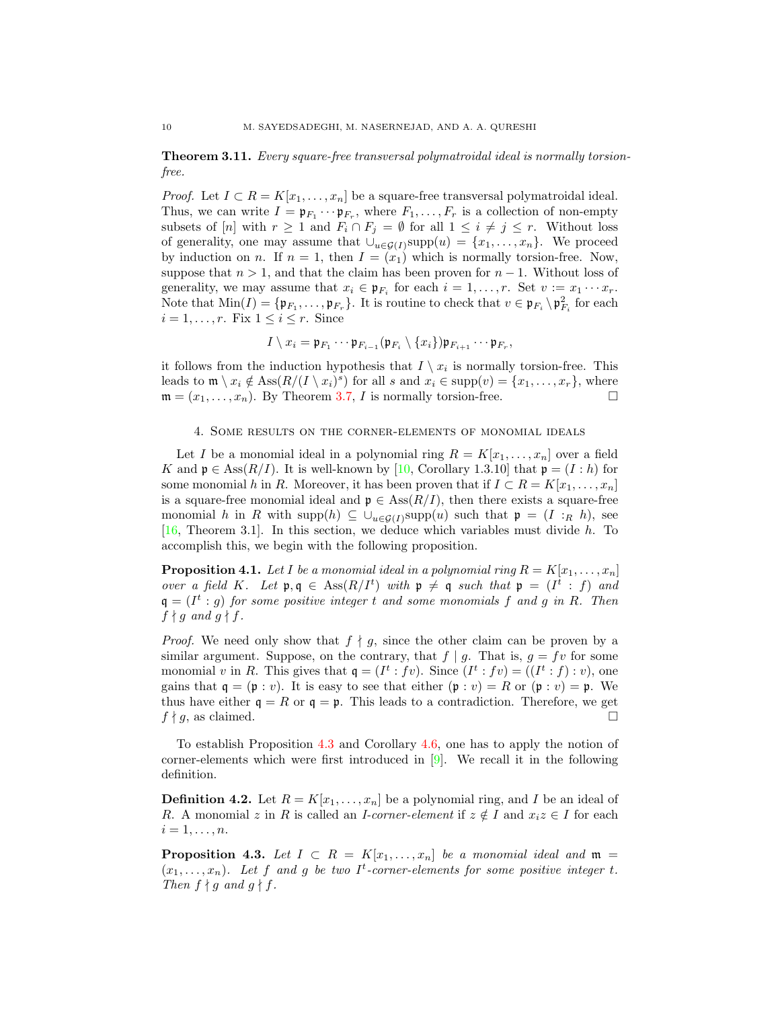<span id="page-9-0"></span>Theorem 3.11. *Every square-free transversal polymatroidal ideal is normally torsionfree.*

*Proof.* Let  $I \subset R = K[x_1, \ldots, x_n]$  be a square-free transversal polymatroidal ideal. Thus, we can write  $I = \mathfrak{p}_{F_1} \cdots \mathfrak{p}_{F_r}$ , where  $F_1, \ldots, F_r$  is a collection of non-empty subsets of [n] with  $r \geq 1$  and  $F_i \cap F_j = \emptyset$  for all  $1 \leq i \neq j \leq r$ . Without loss of generality, one may assume that  $\bigcup_{u \in \mathcal{G}(I)} \text{supp}(u) = \{x_1, \ldots, x_n\}$ . We proceed by induction on n. If  $n = 1$ , then  $I = (x_1)$  which is normally torsion-free. Now, suppose that  $n > 1$ , and that the claim has been proven for  $n - 1$ . Without loss of generality, we may assume that  $x_i \in \mathfrak{p}_{F_i}$  for each  $i = 1, \ldots, r$ . Set  $v := x_1 \cdots x_r$ . Note that  $\text{Min}(I) = \{ \mathfrak{p}_{F_1}, \ldots, \mathfrak{p}_{F_r} \}$ . It is routine to check that  $v \in \mathfrak{p}_{F_i} \setminus \mathfrak{p}_{F_i}^2$  for each  $i = 1, \ldots, r$ . Fix  $1 \leq i \leq r$ . Since

$$
I\setminus x_i=\mathfrak{p}_{F_1}\cdots\mathfrak{p}_{F_{i-1}}(\mathfrak{p}_{F_i}\setminus\{x_i\})\mathfrak{p}_{F_{i+1}}\cdots\mathfrak{p}_{F_r},
$$

it follows from the induction hypothesis that  $I \setminus x_i$  is normally torsion-free. This leads to  $\mathfrak{m} \setminus x_i \notin \text{Ass}(R/(I \setminus x_i)^s)$  for all s and  $x_i \in \text{supp}(v) = \{x_1, \ldots, x_r\}$ , where  $\mathfrak{m} = (x_1, \ldots, x_n)$ . By Theorem [3.7,](#page-7-0) I is normally torsion-free.

#### 4. Some results on the corner-elements of monomial ideals

Let I be a monomial ideal in a polynomial ring  $R = K[x_1, \ldots, x_n]$  over a field K and  $\mathfrak{p} \in \text{Ass}(R/I)$ . It is well-known by [\[10,](#page-12-5) Corollary 1.3.10] that  $\mathfrak{p} = (I : h)$  for some monomial h in R. Moreover, it has been proven that if  $I \subset R = K[x_1, \ldots, x_n]$ is a square-free monomial ideal and  $\mathfrak{p} \in \text{Ass}(R/I)$ , then there exists a square-free monomial h in R with supp $(h) \subseteq \bigcup_{u \in \mathcal{G}(I)} \text{supp}(u)$  such that  $\mathfrak{p} = (I :_R h)$ , see [\[16,](#page-12-21) Theorem 3.1]. In this section, we deduce which variables must divide h. To accomplish this, we begin with the following proposition.

**Proposition 4.1.** Let I be a monomial ideal in a polynomial ring  $R = K[x_1, \ldots, x_n]$ *over a field* K. Let  $\mathfrak{p}, \mathfrak{q} \in \text{Ass}(R/I^t)$  with  $\mathfrak{p} \neq \mathfrak{q}$  such that  $\mathfrak{p} = (I^t : f)$  and  $q = (I^t : g)$  *for some positive integer t and some monomials f and g in R*. Then  $f \nmid g \text{ and } g \nmid f.$ 

*Proof.* We need only show that  $f \nmid g$ , since the other claim can be proven by a similar argument. Suppose, on the contrary, that  $f | g$ . That is,  $g = fv$  for some monomial v in R. This gives that  $\mathfrak{q} = (I^t : fv)$ . Since  $(I^t : fv) = ((I^t : f) : v)$ , one gains that  $\mathfrak{q} = (\mathfrak{p} : v)$ . It is easy to see that either  $(\mathfrak{p} : v) = R$  or  $(\mathfrak{p} : v) = \mathfrak{p}$ . We thus have either  $q = R$  or  $q = p$ . This leads to a contradiction. Therefore, we get  $f \nmid g$ , as claimed.

To establish Proposition [4.3](#page-9-1) and Corollary [4.6,](#page-10-0) one has to apply the notion of corner-elements which were first introduced in [\[9\]](#page-12-27). We recall it in the following definition.

**Definition 4.2.** Let  $R = K[x_1, \ldots, x_n]$  be a polynomial ring, and I be an ideal of R. A monomial z in R is called an *I-corner-element* if  $z \notin I$  and  $x_i z \in I$  for each  $i=1,\ldots,n$ .

<span id="page-9-1"></span>**Proposition 4.3.** Let  $I \subset R = K[x_1, \ldots, x_n]$  be a monomial ideal and  $\mathfrak{m} =$  $(x_1, \ldots, x_n)$ . Let f and g be two I<sup>t</sup>-corner-elements for some positive integer t. *Then*  $f \nmid g$  *and*  $g \nmid f$ .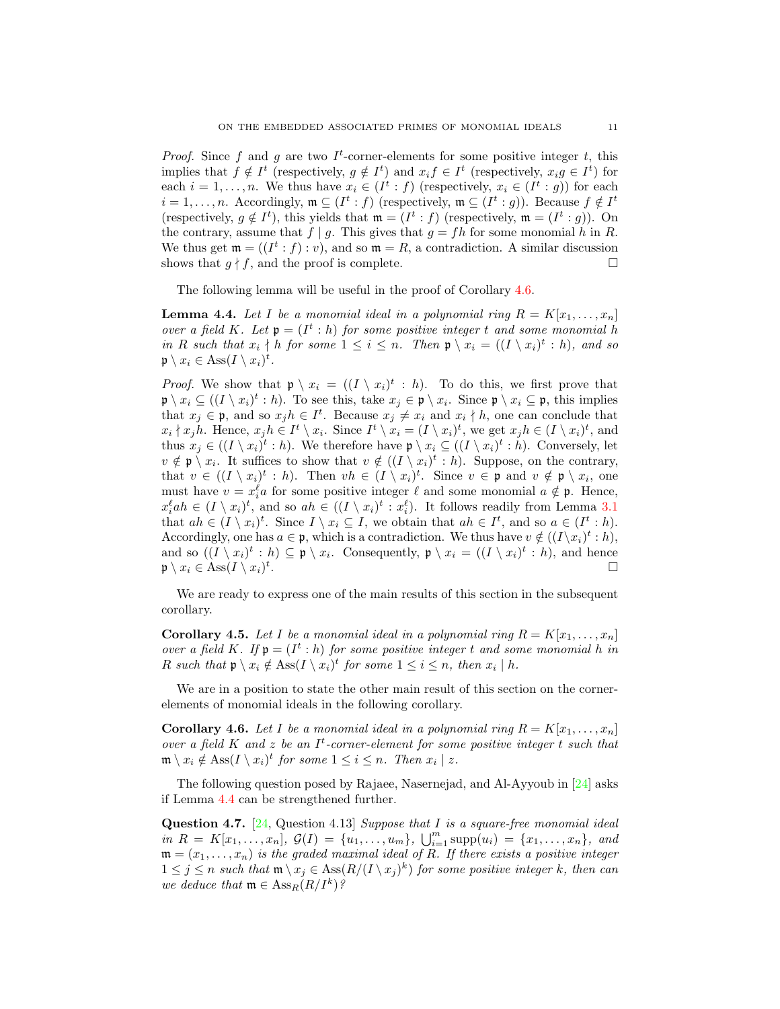*Proof.* Since f and g are two  $I^t$ -corner-elements for some positive integer t, this implies that  $f \notin I^t$  (respectively,  $g \notin I^t$ ) and  $x_i f \in I^t$  (respectively,  $x_i g \in I^t$ ) for each  $i = 1, \ldots, n$ . We thus have  $x_i \in (I^t : f)$  (respectively,  $x_i \in (I^t : g)$ ) for each  $i = 1, \ldots, n$ . Accordingly,  $\mathfrak{m} \subseteq (I^t : f)$  (respectively,  $\mathfrak{m} \subseteq (I^t : g)$ ). Because  $f \notin I^t$ (respectively,  $g \notin I^t$ ), this yields that  $\mathfrak{m} = (I^t : f)$  (respectively,  $\mathfrak{m} = (I^t : g)$ ). On the contrary, assume that  $f | g$ . This gives that  $g = fh$  for some monomial h in R. We thus get  $\mathfrak{m} = ((I^t : f) : v)$ , and so  $\mathfrak{m} = R$ , a contradiction. A similar discussion shows that  $g \nmid f$ , and the proof is complete.

The following lemma will be useful in the proof of Corollary [4.6.](#page-10-0)

<span id="page-10-1"></span>**Lemma 4.4.** Let I be a monomial ideal in a polynomial ring  $R = K[x_1, \ldots, x_n]$ *over a field* K. Let  $\mathfrak{p} = (I^t : h)$  *for some positive integer* t *and some monomial* h *in* R such that  $x_i \nmid h$  for some  $1 \leq i \leq n$ . Then  $\mathfrak{p} \setminus x_i = ((I \setminus x_i)^t : h)$ *, and so*  $\mathfrak{p} \setminus x_i \in \mathrm{Ass}(I \setminus x_i)^t.$ 

*Proof.* We show that  $\mathfrak{p} \setminus x_i = ((I \setminus x_i)^t : h)$ . To do this, we first prove that  $\mathfrak{p} \setminus x_i \subseteq ((I \setminus x_i)^t : h)$ . To see this, take  $x_j \in \mathfrak{p} \setminus x_i$ . Since  $\mathfrak{p} \setminus x_i \subseteq \mathfrak{p}$ , this implies that  $x_j \in \mathfrak{p}$ , and so  $x_j h \in I^t$ . Because  $x_j \neq x_i$  and  $x_i \nmid h$ , one can conclude that  $x_i \nmid x_jh$ . Hence,  $x_jh \in I^t \setminus x_i$ . Since  $I^t \setminus x_i = (I \setminus x_i)^t$ , we get  $x_jh \in (I \setminus x_i)^t$ , and thus  $x_j \in ((I \setminus x_i)^t : h)$ . We therefore have  $\mathfrak{p} \setminus x_i \subseteq ((I \setminus x_i)^t : h)$ . Conversely, let  $v \notin \mathfrak{p} \setminus x_i$ . It suffices to show that  $v \notin ((I \setminus x_i)^t : h)$ . Suppose, on the contrary, that  $v \in ((I \setminus x_i)^t : h)$ . Then  $vh \in (I \setminus x_i)^t$ . Since  $v \in \mathfrak{p}$  and  $v \notin \mathfrak{p} \setminus x_i$ , one must have  $v = x_i^{\ell} a$  for some positive integer  $\ell$  and some monomial  $a \notin \mathfrak{p}$ . Hence,  $x_i^{\ell}ah \in (I \setminus x_i)^t$ , and so  $ah \in ((I \setminus x_i)^t : x_i^{\ell})$ . It follows readily from Lemma [3.1](#page-3-0) that  $ah \in (I \setminus x_i)^t$ . Since  $I \setminus x_i \subseteq I$ , we obtain that  $ah \in I^t$ , and so  $a \in (I^t : h)$ . Accordingly, one has  $a \in \mathfrak{p}$ , which is a contradiction. We thus have  $v \notin ((I \setminus x_i)^t : h)$ , and so  $((I \setminus x_i)^t : h) \subseteq \mathfrak{p} \setminus x_i$ . Consequently,  $\mathfrak{p} \setminus x_i = ((I \setminus x_i)^t : h)$ , and hence  $\mathfrak{p} \setminus x_i \in \mathrm{Ass}(I \setminus x_i)^t$ .

We are ready to express one of the main results of this section in the subsequent corollary.

**Corollary 4.5.** Let I be a monomial ideal in a polynomial ring  $R = K[x_1, \ldots, x_n]$ *over a field* K. If  $\mathfrak{p} = (I^t : h)$  *for some positive integer t and some monomial* h *in*  $R$  such that  $\mathfrak{p} \setminus x_i \notin \text{Ass}(I \setminus x_i)^t$  for some  $1 \leq i \leq n$ , then  $x_i \mid h$ .

We are in a position to state the other main result of this section on the cornerelements of monomial ideals in the following corollary.

<span id="page-10-0"></span>**Corollary 4.6.** Let I be a monomial ideal in a polynomial ring  $R = K[x_1, \ldots, x_n]$ *over a field* K *and* z *be an* I t *-corner-element for some positive integer* t *such that*  $\mathfrak{m} \setminus x_i \notin \text{Ass}(I \setminus x_i)^t$  for some  $1 \leq i \leq n$ . Then  $x_i \mid z$ .

The following question posed by Rajaee, Nasernejad, and Al-Ayyoub in [\[24\]](#page-12-24) asks if Lemma [4.4](#page-10-1) can be strengthened further.

Question 4.7. [\[24,](#page-12-24) Question 4.13] *Suppose that* I *is a square-free monomial ideal in*  $R = K[x_1, \ldots, x_n]$ ,  $\mathcal{G}(I) = \{u_1, \ldots, u_m\}$ ,  $\bigcup_{i=1}^m \text{supp}(u_i) = \{x_1, \ldots, x_n\}$ , and  $\mathfrak{m} = (x_1, \ldots, x_n)$  *is the graded maximal ideal of R. If there exists a positive integer*  $1 ≤ j ≤ n$  such that  $\mathfrak{m} \setminus x_j ∈ \text{Ass}(R/(I \setminus x_j)^k)$  *for some positive integer* k, then can *we deduce that*  $\mathfrak{m} \in \text{Ass}_{R}(R/I^{k})$ ?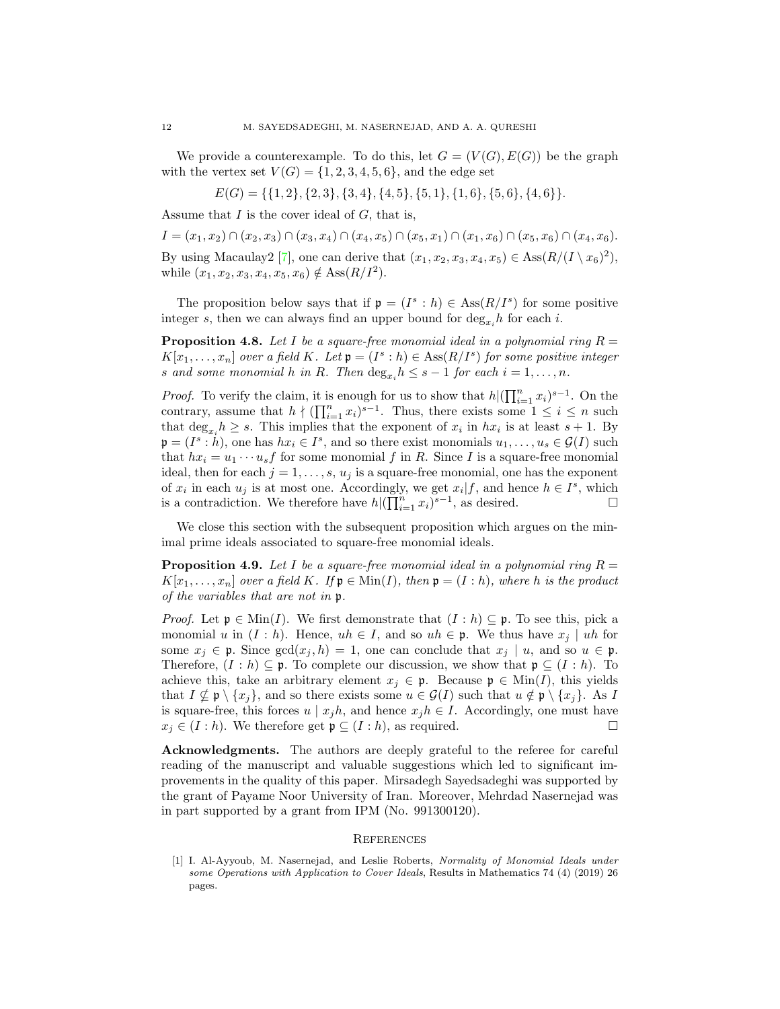We provide a counterexample. To do this, let  $G = (V(G), E(G))$  be the graph with the vertex set  $V(G) = \{1, 2, 3, 4, 5, 6\}$ , and the edge set

 $E(G) = \{ \{1, 2\}, \{2, 3\}, \{3, 4\}, \{4, 5\}, \{5, 1\}, \{1, 6\}, \{5, 6\}, \{4, 6\} \}.$ 

Assume that  $I$  is the cover ideal of  $G$ , that is,

 $I = (x_1, x_2) \cap (x_2, x_3) \cap (x_3, x_4) \cap (x_4, x_5) \cap (x_5, x_1) \cap (x_1, x_6) \cap (x_5, x_6) \cap (x_4, x_6).$ 

By using Macaulay2 [\[7\]](#page-12-23), one can derive that  $(x_1, x_2, x_3, x_4, x_5) \in \text{Ass}(R/(I \setminus x_6)^2)$ , while  $(x_1, x_2, x_3, x_4, x_5, x_6) \notin \text{Ass}(R/I^2)$ .

The proposition below says that if  $\mathfrak{p} = (I^s : h) \in \text{Ass}(R/I^s)$  for some positive integer s, then we can always find an upper bound for  $\deg_{x_i} h$  for each i.

**Proposition 4.8.** Let I be a square-free monomial ideal in a polynomial ring  $R =$  $K[x_1, \ldots, x_n]$  *over a field*  $K$ . Let  $\mathfrak{p} = (I^s : h) \in \text{Ass}(R/I^s)$  for some positive integer s and some monomial h in R. Then  $\deg_{x_i} h \leq s-1$  for each  $i = 1, ..., n$ .

*Proof.* To verify the claim, it is enough for us to show that  $h|(\prod_{i=1}^n x_i)^{s-1}$ . On the contrary, assume that  $h \nmid (\prod_{i=1}^n x_i)^{s-1}$ . Thus, there exists some  $1 \leq i \leq n$  such that  $\deg_{x_i} h \geq s$ . This implies that the exponent of  $x_i$  in  $hx_i$  is at least  $s+1$ . By  $\mathfrak{p} = (I^s : \dot{h})$ , one has  $hx_i \in I^s$ , and so there exist monomials  $u_1, \ldots, u_s \in \mathcal{G}(I)$  such that  $hx_i = u_1 \cdots u_s f$  for some monomial f in R. Since I is a square-free monomial ideal, then for each  $j = 1, \ldots, s, u_j$  is a square-free monomial, one has the exponent of  $x_i$  in each  $u_j$  is at most one. Accordingly, we get  $x_i | f$ , and hence  $h \in I^s$ , which is a contradiction. We therefore have  $h|(\prod_{i=1}^n x_i)^{s-1}$ , as desired.

We close this section with the subsequent proposition which argues on the minimal prime ideals associated to square-free monomial ideals.

**Proposition 4.9.** Let I be a square-free monomial ideal in a polynomial ring  $R =$  $K[x_1, \ldots, x_n]$  *over a field* K. If  $\mathfrak{p} \in \text{Min}(I)$ *, then*  $\mathfrak{p} = (I : h)$ *, where h is the product of the variables that are not in* p*.*

*Proof.* Let  $\mathfrak{p} \in \text{Min}(I)$ . We first demonstrate that  $(I : h) \subseteq \mathfrak{p}$ . To see this, pick a monomial u in  $(I : h)$ . Hence,  $uh \in I$ , and so  $uh \in \mathfrak{p}$ . We thus have  $x_i | uh$  for some  $x_j \in \mathfrak{p}$ . Since  $gcd(x_j, h) = 1$ , one can conclude that  $x_j \mid u$ , and so  $u \in \mathfrak{p}$ . Therefore,  $(I : h) \subseteq \mathfrak{p}$ . To complete our discussion, we show that  $\mathfrak{p} \subseteq (I : h)$ . To achieve this, take an arbitrary element  $x_j \in \mathfrak{p}$ . Because  $\mathfrak{p} \in \text{Min}(I)$ , this yields that  $I \nsubseteq \mathfrak{p} \setminus \{x_i\}$ , and so there exists some  $u \in \mathcal{G}(I)$  such that  $u \notin \mathfrak{p} \setminus \{x_i\}$ . As I is square-free, this forces  $u | x_j h$ , and hence  $x_j h \in I$ . Accordingly, one must have  $x_i \in (I : h)$ . We therefore get  $\mathfrak{p} \subset (I : h)$ , as required.  $x_j \in (I : h)$ . We therefore get  $\mathfrak{p} \subseteq (I : h)$ , as required.

Acknowledgments. The authors are deeply grateful to the referee for careful reading of the manuscript and valuable suggestions which led to significant improvements in the quality of this paper. Mirsadegh Sayedsadeghi was supported by the grant of Payame Noor University of Iran. Moreover, Mehrdad Nasernejad was in part supported by a grant from IPM (No. 991300120).

### **REFERENCES**

<span id="page-11-0"></span>[1] I. Al-Ayyoub, M. Nasernejad, and Leslie Roberts, Normality of Monomial Ideals under some Operations with Application to Cover Ideals, Results in Mathematics 74 (4) (2019) 26 pages.